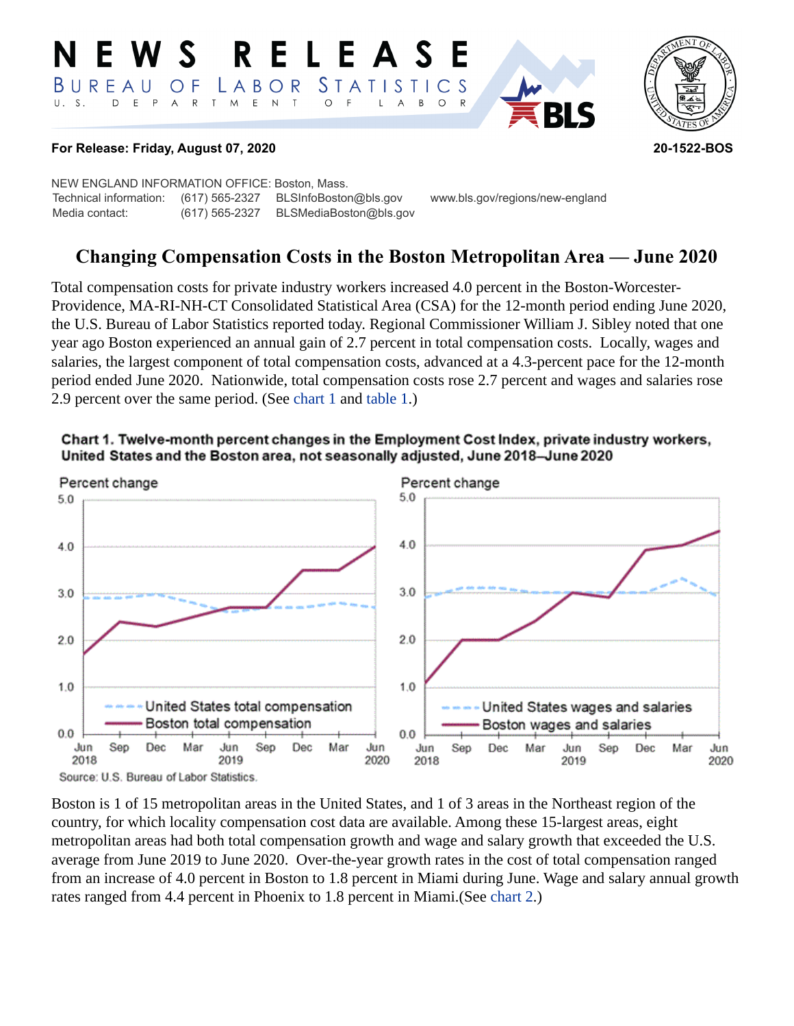#### RELEAS W S *STATISTICS* BUREAU LABOR O F  $T$  $\mathsf E$  $U. S.$ D  $E$  $P$  $\overline{A}$  ${\sf R}$  $M_{\odot}$  $\mathsf{N}$  $\mathsf{T}$  $\circ$ B  $\circ$ A



### **For Release: Friday, August 07, 2020 20-1522-BOS**

NEW ENGLAND INFORMATION OFFICE: Boston, Mass. Technical information: (617) 565-2327 BLSInfoBoston@bls.gov www.bls.gov/regions/new-england Media contact: (617) 565-2327 BLSMediaBoston@bls.gov

# **Changing Compensation Costs in the Boston Metropolitan Area — June 2020**

Total compensation costs for private industry workers increased 4.0 percent in the Boston-Worcester-Providence, MA-RI-NH-CT Consolidated Statistical Area (CSA) for the 12-month period ending June 2020, the U.S. Bureau of Labor Statistics reported today. Regional Commissioner William J. Sibley noted that one year ago Boston experienced an annual gain of 2.7 percent in total compensation costs. Locally, wages and salaries, the largest component of total compensation costs, advanced at a 4.3-percent pace for the 12-month period ended June 2020. Nationwide, total compensation costs rose 2.7 percent and wages and salaries rose 2.9 percent over the same period. (See [chart 1](#page-0-0) and table 1.)



<span id="page-0-0"></span>

Boston is 1 of 15 metropolitan areas in the United States, and 1 of 3 areas in the Northeast region of the country, for which locality compensation cost data are available. Among these 15-largest areas, eight metropolitan areas had both total compensation growth and wage and salary growth that exceeded the U.S. average from June 2019 to June 2020. Over-the-year growth rates in the cost of total compensation ranged from an increase of 4.0 percent in Boston to 1.8 percent in Miami during June. Wage and salary annual growth rates ranged from 4.4 percent in Phoenix to 1.8 percent in Miami.(See [chart 2](#page-1-0).)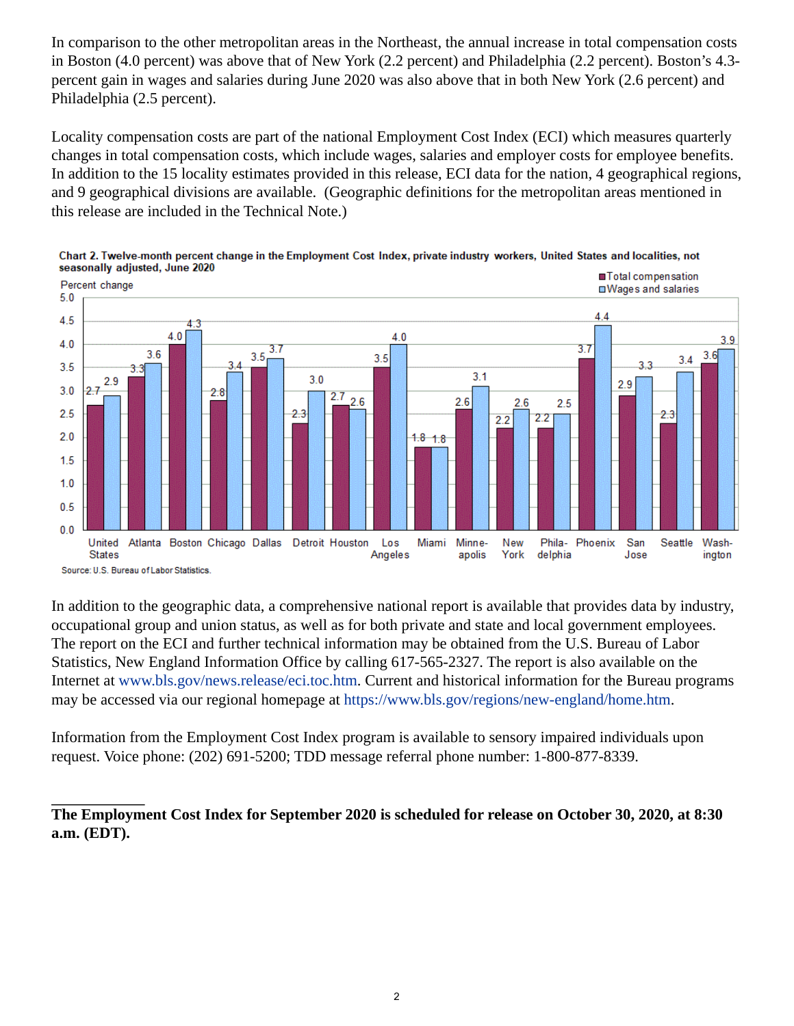In comparison to the other metropolitan areas in the Northeast, the annual increase in total compensation costs in Boston (4.0 percent) was above that of New York (2.2 percent) and Philadelphia (2.2 percent). Boston's 4.3 percent gain in wages and salaries during June 2020 was also above that in both New York (2.6 percent) and Philadelphia (2.5 percent).

Locality compensation costs are part of the national Employment Cost Index (ECI) which measures quarterly changes in total compensation costs, which include wages, salaries and employer costs for employee benefits. In addition to the 15 locality estimates provided in this release, ECI data for the nation, 4 geographical regions, and 9 geographical divisions are available. (Geographic definitions for the metropolitan areas mentioned in this release are included in the Technical Note.)



<span id="page-1-0"></span>

In addition to the geographic data, a comprehensive national report is available that provides data by industry, occupational group and union status, as well as for both private and state and local government employees. The report on the ECI and further technical information may be obtained from the U.S. Bureau of Labor Statistics, New England Information Office by calling 617-565-2327. The report is also available on the Internet at [www.bls.gov/news.release/eci.toc.htm.](https://www.bls.gov/news.release/eci.toc.htm) Current and historical information for the Bureau programs may be accessed via our regional homepage at<https://www.bls.gov/regions/new-england/home.htm>.

Information from the Employment Cost Index program is available to sensory impaired individuals upon request. Voice phone: (202) 691-5200; TDD message referral phone number: 1-800-877-8339.

**The Employment Cost Index for September 2020 is scheduled for release on October 30, 2020, at 8:30 a.m. (EDT).**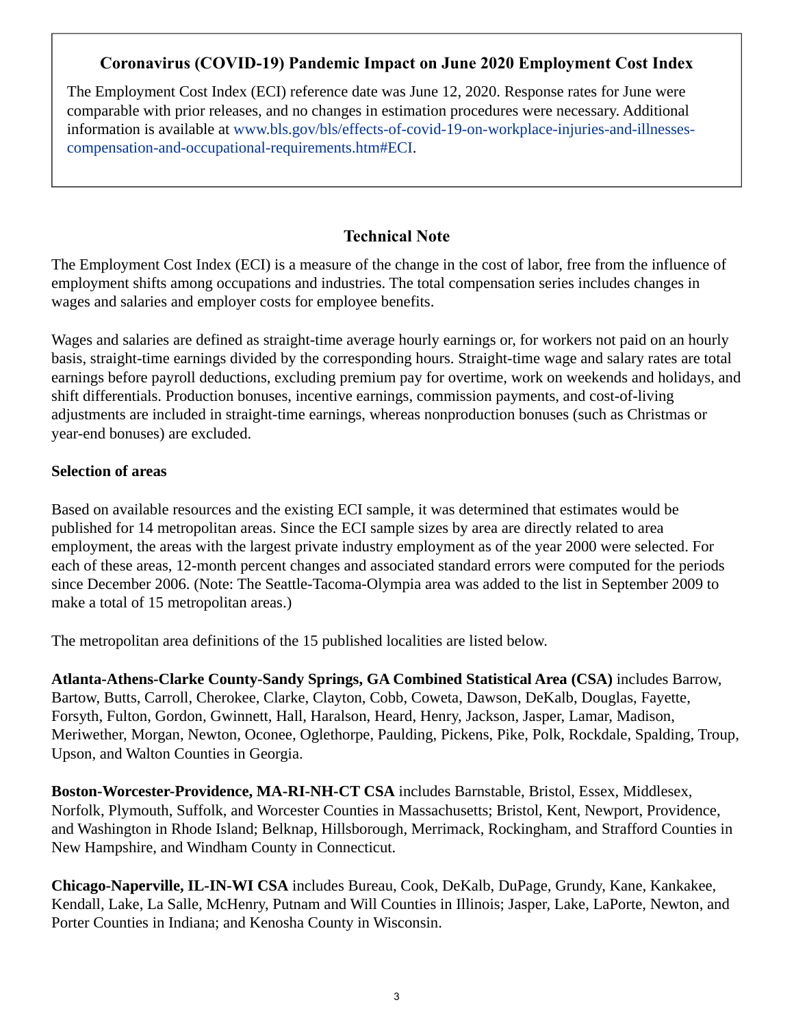## **Coronavirus (COVID-19) Pandemic Impact on June 2020 Employment Cost Index**

The Employment Cost Index (ECI) reference date was June 12, 2020. Response rates for June were comparable with prior releases, and no changes in estimation procedures were necessary. Additional information is available at [www.bls.gov/bls/effects-of-covid-19-on-workplace-injuries-and-illnesses](https://www.bls.gov/bls/effects-of-covid-19-on-workplace-injuries-and-illnesses-compensation-and-occupational-requirements.htm#ECI)[compensation-and-occupational-requirements.htm#ECI](https://www.bls.gov/bls/effects-of-covid-19-on-workplace-injuries-and-illnesses-compensation-and-occupational-requirements.htm#ECI).

## **Technical Note**

The Employment Cost Index (ECI) is a measure of the change in the cost of labor, free from the influence of employment shifts among occupations and industries. The total compensation series includes changes in wages and salaries and employer costs for employee benefits.

Wages and salaries are defined as straight-time average hourly earnings or, for workers not paid on an hourly basis, straight-time earnings divided by the corresponding hours. Straight-time wage and salary rates are total earnings before payroll deductions, excluding premium pay for overtime, work on weekends and holidays, and shift differentials. Production bonuses, incentive earnings, commission payments, and cost-of-living adjustments are included in straight-time earnings, whereas nonproduction bonuses (such as Christmas or year-end bonuses) are excluded.

## **Selection of areas**

Based on available resources and the existing ECI sample, it was determined that estimates would be published for 14 metropolitan areas. Since the ECI sample sizes by area are directly related to area employment, the areas with the largest private industry employment as of the year 2000 were selected. For each of these areas, 12-month percent changes and associated standard errors were computed for the periods since December 2006. (Note: The Seattle-Tacoma-Olympia area was added to the list in September 2009 to make a total of 15 metropolitan areas.)

The metropolitan area definitions of the 15 published localities are listed below.

**Atlanta-Athens-Clarke County-Sandy Springs, GA Combined Statistical Area (CSA)** includes Barrow, Bartow, Butts, Carroll, Cherokee, Clarke, Clayton, Cobb, Coweta, Dawson, DeKalb, Douglas, Fayette, Forsyth, Fulton, Gordon, Gwinnett, Hall, Haralson, Heard, Henry, Jackson, Jasper, Lamar, Madison, Meriwether, Morgan, Newton, Oconee, Oglethorpe, Paulding, Pickens, Pike, Polk, Rockdale, Spalding, Troup, Upson, and Walton Counties in Georgia.

**Boston-Worcester-Providence, MA-RI-NH-CT CSA** includes Barnstable, Bristol, Essex, Middlesex, Norfolk, Plymouth, Suffolk, and Worcester Counties in Massachusetts; Bristol, Kent, Newport, Providence, and Washington in Rhode Island; Belknap, Hillsborough, Merrimack, Rockingham, and Strafford Counties in New Hampshire, and Windham County in Connecticut.

**Chicago-Naperville, IL-IN-WI CSA** includes Bureau, Cook, DeKalb, DuPage, Grundy, Kane, Kankakee, Kendall, Lake, La Salle, McHenry, Putnam and Will Counties in Illinois; Jasper, Lake, LaPorte, Newton, and Porter Counties in Indiana; and Kenosha County in Wisconsin.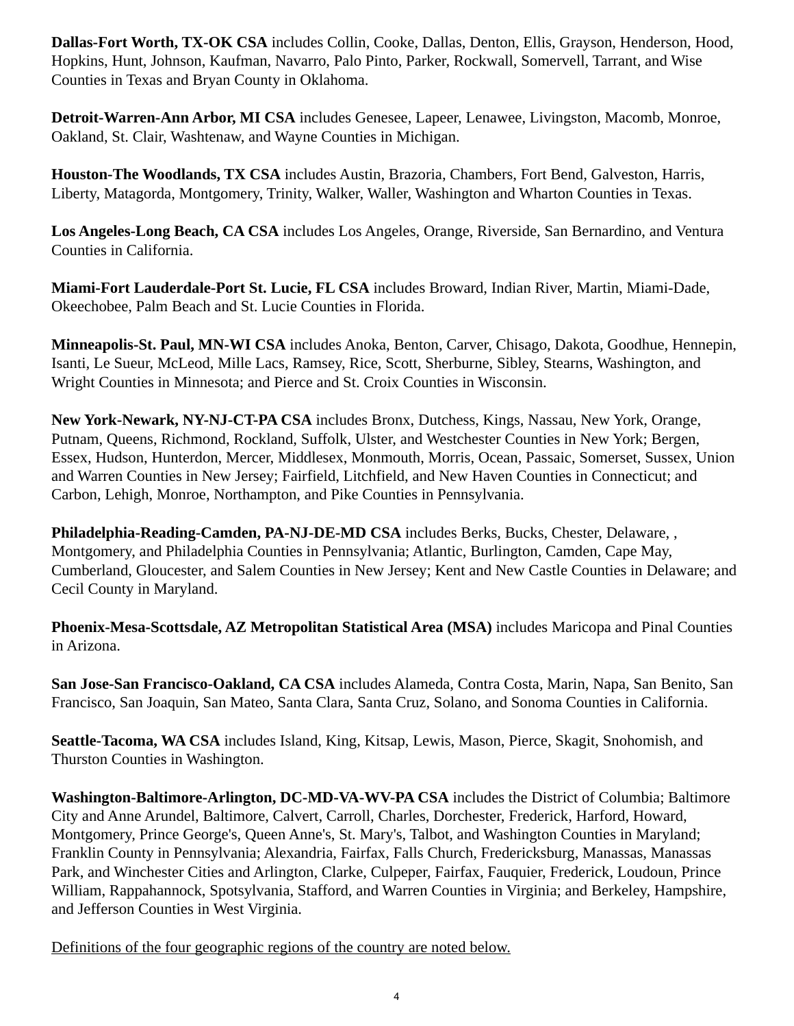**Dallas-Fort Worth, TX-OK CSA** includes Collin, Cooke, Dallas, Denton, Ellis, Grayson, Henderson, Hood, Hopkins, Hunt, Johnson, Kaufman, Navarro, Palo Pinto, Parker, Rockwall, Somervell, Tarrant, and Wise Counties in Texas and Bryan County in Oklahoma.

**Detroit-Warren-Ann Arbor, MI CSA** includes Genesee, Lapeer, Lenawee, Livingston, Macomb, Monroe, Oakland, St. Clair, Washtenaw, and Wayne Counties in Michigan.

**Houston-The Woodlands, TX CSA** includes Austin, Brazoria, Chambers, Fort Bend, Galveston, Harris, Liberty, Matagorda, Montgomery, Trinity, Walker, Waller, Washington and Wharton Counties in Texas.

**Los Angeles-Long Beach, CA CSA** includes Los Angeles, Orange, Riverside, San Bernardino, and Ventura Counties in California.

**Miami-Fort Lauderdale-Port St. Lucie, FL CSA** includes Broward, Indian River, Martin, Miami-Dade, Okeechobee, Palm Beach and St. Lucie Counties in Florida.

**Minneapolis-St. Paul, MN-WI CSA** includes Anoka, Benton, Carver, Chisago, Dakota, Goodhue, Hennepin, Isanti, Le Sueur, McLeod, Mille Lacs, Ramsey, Rice, Scott, Sherburne, Sibley, Stearns, Washington, and Wright Counties in Minnesota; and Pierce and St. Croix Counties in Wisconsin.

**New York-Newark, NY-NJ-CT-PA CSA** includes Bronx, Dutchess, Kings, Nassau, New York, Orange, Putnam, Queens, Richmond, Rockland, Suffolk, Ulster, and Westchester Counties in New York; Bergen, Essex, Hudson, Hunterdon, Mercer, Middlesex, Monmouth, Morris, Ocean, Passaic, Somerset, Sussex, Union and Warren Counties in New Jersey; Fairfield, Litchfield, and New Haven Counties in Connecticut; and Carbon, Lehigh, Monroe, Northampton, and Pike Counties in Pennsylvania.

**Philadelphia-Reading-Camden, PA-NJ-DE-MD CSA** includes Berks, Bucks, Chester, Delaware, , Montgomery, and Philadelphia Counties in Pennsylvania; Atlantic, Burlington, Camden, Cape May, Cumberland, Gloucester, and Salem Counties in New Jersey; Kent and New Castle Counties in Delaware; and Cecil County in Maryland.

**Phoenix-Mesa-Scottsdale, AZ Metropolitan Statistical Area (MSA)** includes Maricopa and Pinal Counties in Arizona.

**San Jose-San Francisco-Oakland, CA CSA** includes Alameda, Contra Costa, Marin, Napa, San Benito, San Francisco, San Joaquin, San Mateo, Santa Clara, Santa Cruz, Solano, and Sonoma Counties in California.

**Seattle-Tacoma, WA CSA** includes Island, King, Kitsap, Lewis, Mason, Pierce, Skagit, Snohomish, and Thurston Counties in Washington.

**Washington-Baltimore-Arlington, DC-MD-VA-WV-PA CSA** includes the District of Columbia; Baltimore City and Anne Arundel, Baltimore, Calvert, Carroll, Charles, Dorchester, Frederick, Harford, Howard, Montgomery, Prince George's, Queen Anne's, St. Mary's, Talbot, and Washington Counties in Maryland; Franklin County in Pennsylvania; Alexandria, Fairfax, Falls Church, Fredericksburg, Manassas, Manassas Park, and Winchester Cities and Arlington, Clarke, Culpeper, Fairfax, Fauquier, Frederick, Loudoun, Prince William, Rappahannock, Spotsylvania, Stafford, and Warren Counties in Virginia; and Berkeley, Hampshire, and Jefferson Counties in West Virginia.

Definitions of the four geographic regions of the country are noted below.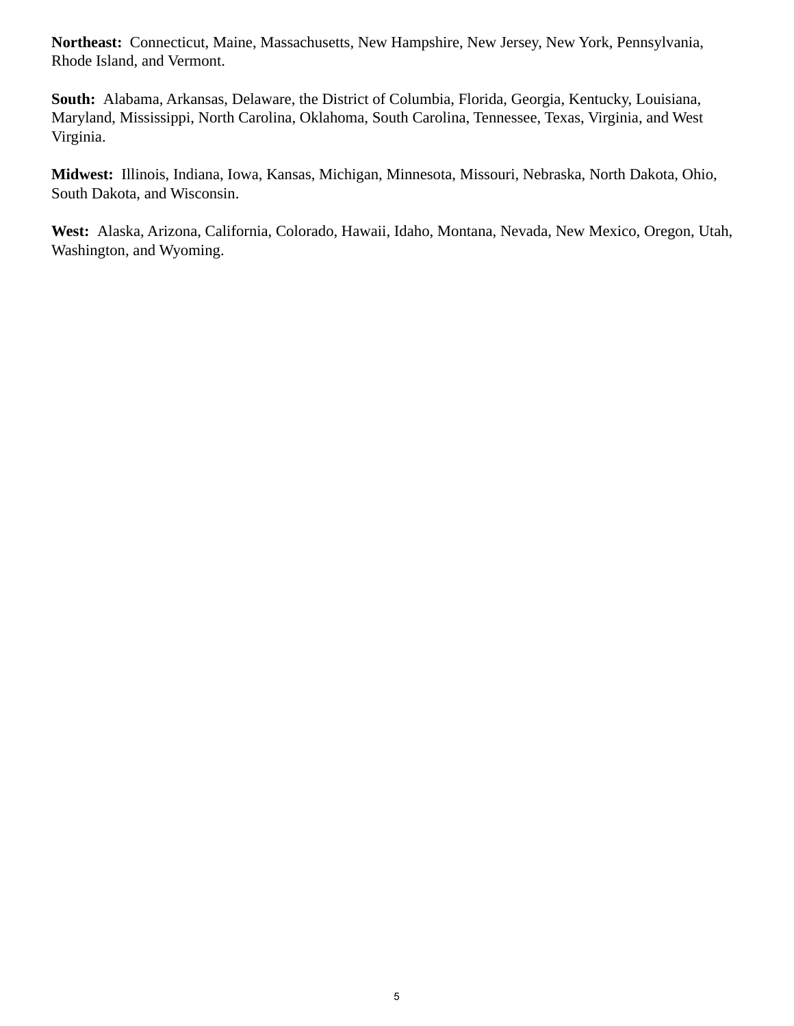**Northeast:** Connecticut, Maine, Massachusetts, New Hampshire, New Jersey, New York, Pennsylvania, Rhode Island, and Vermont.

**South:** Alabama, Arkansas, Delaware, the District of Columbia, Florida, Georgia, Kentucky, Louisiana, Maryland, Mississippi, North Carolina, Oklahoma, South Carolina, Tennessee, Texas, Virginia, and West Virginia.

**Midwest:** Illinois, Indiana, Iowa, Kansas, Michigan, Minnesota, Missouri, Nebraska, North Dakota, Ohio, South Dakota, and Wisconsin.

**West:** Alaska, Arizona, California, Colorado, Hawaii, Idaho, Montana, Nevada, New Mexico, Oregon, Utah, Washington, and Wyoming.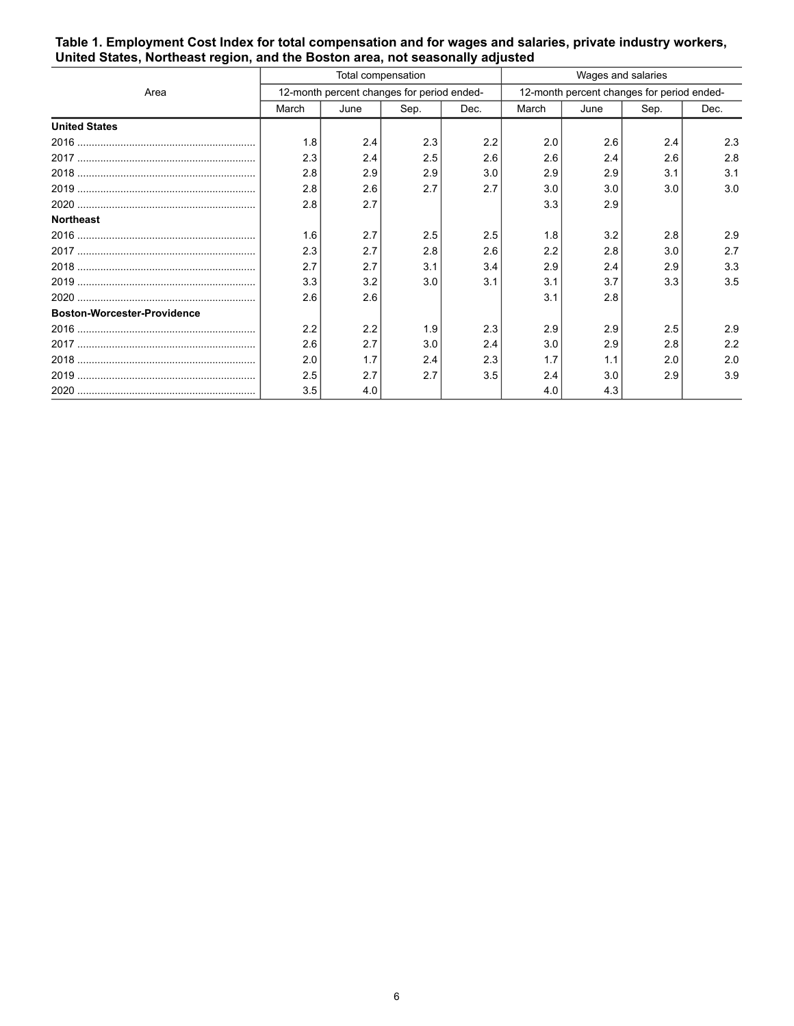|                                    | Total compensation                         |      |      |      | Wages and salaries                         |      |      |      |
|------------------------------------|--------------------------------------------|------|------|------|--------------------------------------------|------|------|------|
| Area                               | 12-month percent changes for period ended- |      |      |      | 12-month percent changes for period ended- |      |      |      |
|                                    | March                                      | June | Sep. | Dec. | March                                      | June | Sep. | Dec. |
| <b>United States</b>               |                                            |      |      |      |                                            |      |      |      |
|                                    | 1.8                                        | 2.4  | 2.3  | 2.2  | 2.0                                        | 2.6  | 2.4  | 2.3  |
|                                    | 2.3                                        | 2.4  | 2.5  | 2.6  | 2.6                                        | 2.4  | 2.6  | 2.8  |
|                                    | 2.8                                        | 2.9  | 2.9  | 3.0  | 2.9                                        | 2.9  | 3.1  | 3.1  |
|                                    | 2.8                                        | 2.6  | 2.7  | 2.7  | 3.0                                        | 3.0  | 3.0  | 3.0  |
|                                    | 2.8                                        | 2.7  |      |      | 3.3                                        | 2.9  |      |      |
| <b>Northeast</b>                   |                                            |      |      |      |                                            |      |      |      |
|                                    | 1.6                                        | 2.7  | 2.5  | 2.5  | 1.8                                        | 3.2  | 2.8  | 2.9  |
|                                    | 2.3                                        | 2.7  | 2.8  | 2.6  | 2.2                                        | 2.8  | 3.0  | 2.7  |
|                                    | 2.7                                        | 2.7  | 3.1  | 3.4  | 2.9                                        | 2.4  | 2.9  | 3.3  |
|                                    | 3.3                                        | 3.2  | 3.0  | 3.1  | 3.1                                        | 3.7  | 3.3  | 3.5  |
|                                    | 2.6                                        | 2.6  |      |      | 3.1                                        | 2.8  |      |      |
| <b>Boston-Worcester-Providence</b> |                                            |      |      |      |                                            |      |      |      |
|                                    | 2.2                                        | 2.2  | 1.9  | 2.3  | 2.9                                        | 2.9  | 2.5  | 2.9  |
|                                    | 2.6                                        | 2.7  | 3.0  | 2.4  | 3.0                                        | 2.9  | 2.8  | 2.2  |
|                                    | 2.0                                        | 1.7  | 2.4  | 2.3  | 1.7                                        | 1.1  | 2.0  | 2.0  |
|                                    | 2.5                                        | 2.7  | 2.7  | 3.5  | 2.4                                        | 3.0  | 2.9  | 3.9  |
|                                    | 3.5                                        | 4.0  |      |      | 4.0                                        | 4.3  |      |      |

#### **Table 1. Employment Cost Index for total compensation and for wages and salaries, private industry workers, United States, Northeast region, and the Boston area, not seasonally adjusted**